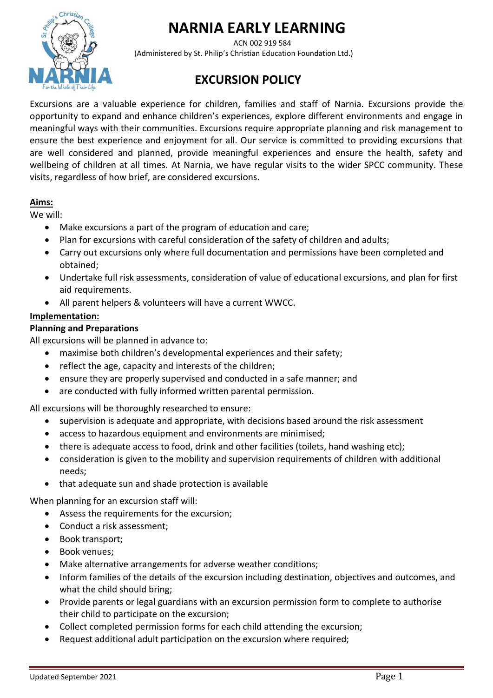# **NARNIA EARLY LEARNING**



 ACN 002 919 584 (Administered by St. Philip's Christian Education Foundation Ltd.)

# **EXCURSION POLICY**

Excursions are a valuable experience for children, families and staff of Narnia. Excursions provide the opportunity to expand and enhance children's experiences, explore different environments and engage in meaningful ways with their communities. Excursions require appropriate planning and risk management to ensure the best experience and enjoyment for all. Our service is committed to providing excursions that are well considered and planned, provide meaningful experiences and ensure the health, safety and wellbeing of children at all times. At Narnia, we have regular visits to the wider SPCC community. These visits, regardless of how brief, are considered excursions.

# **Aims:**

We will:

- Make excursions a part of the program of education and care;
- Plan for excursions with careful consideration of the safety of children and adults;
- Carry out excursions only where full documentation and permissions have been completed and obtained;
- Undertake full risk assessments, consideration of value of educational excursions, and plan for first aid requirements.
- All parent helpers & volunteers will have a current WWCC.

# **Implementation:**

# **Planning and Preparations**

All excursions will be planned in advance to:

- maximise both children's developmental experiences and their safety;
- reflect the age, capacity and interests of the children;
- ensure they are properly supervised and conducted in a safe manner; and
- are conducted with fully informed written parental permission.

All excursions will be thoroughly researched to ensure:

- supervision is adequate and appropriate, with decisions based around the risk assessment
- access to hazardous equipment and environments are minimised;
- there is adequate access to food, drink and other facilities (toilets, hand washing etc);
- consideration is given to the mobility and supervision requirements of children with additional needs;
- that adequate sun and shade protection is available

When planning for an excursion staff will:

- Assess the requirements for the excursion;
- Conduct a risk assessment;
- Book transport;
- Book venues;
- Make alternative arrangements for adverse weather conditions;
- Inform families of the details of the excursion including destination, objectives and outcomes, and what the child should bring;
- Provide parents or legal guardians with an excursion permission form to complete to authorise their child to participate on the excursion;
- Collect completed permission forms for each child attending the excursion;
- Request additional adult participation on the excursion where required;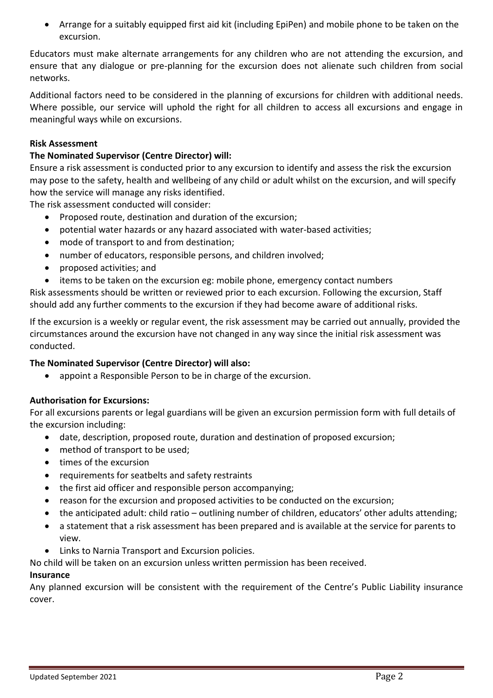• Arrange for a suitably equipped first aid kit (including EpiPen) and mobile phone to be taken on the excursion.

Educators must make alternate arrangements for any children who are not attending the excursion, and ensure that any dialogue or pre-planning for the excursion does not alienate such children from social networks.

Additional factors need to be considered in the planning of excursions for children with additional needs. Where possible, our service will uphold the right for all children to access all excursions and engage in meaningful ways while on excursions.

#### **Risk Assessment**

#### **The Nominated Supervisor (Centre Director) will:**

Ensure a risk assessment is conducted prior to any excursion to identify and assess the risk the excursion may pose to the safety, health and wellbeing of any child or adult whilst on the excursion, and will specify how the service will manage any risks identified.

The risk assessment conducted will consider:

- Proposed route, destination and duration of the excursion;
- potential water hazards or any hazard associated with water-based activities;
- mode of transport to and from destination;
- number of educators, responsible persons, and children involved;
- proposed activities; and
- items to be taken on the excursion eg: mobile phone, emergency contact numbers

Risk assessments should be written or reviewed prior to each excursion. Following the excursion, Staff should add any further comments to the excursion if they had become aware of additional risks.

If the excursion is a weekly or regular event, the risk assessment may be carried out annually, provided the circumstances around the excursion have not changed in any way since the initial risk assessment was conducted.

#### **The Nominated Supervisor (Centre Director) will also:**

• appoint a Responsible Person to be in charge of the excursion.

#### **Authorisation for Excursions:**

For all excursions parents or legal guardians will be given an excursion permission form with full details of the excursion including:

- date, description, proposed route, duration and destination of proposed excursion;
- method of transport to be used;
- times of the excursion
- requirements for seatbelts and safety restraints
- the first aid officer and responsible person accompanying;
- reason for the excursion and proposed activities to be conducted on the excursion;
- the anticipated adult: child ratio outlining number of children, educators' other adults attending;
- a statement that a risk assessment has been prepared and is available at the service for parents to view.
- Links to Narnia Transport and Excursion policies.

No child will be taken on an excursion unless written permission has been received.

#### **Insurance**

Any planned excursion will be consistent with the requirement of the Centre's Public Liability insurance cover.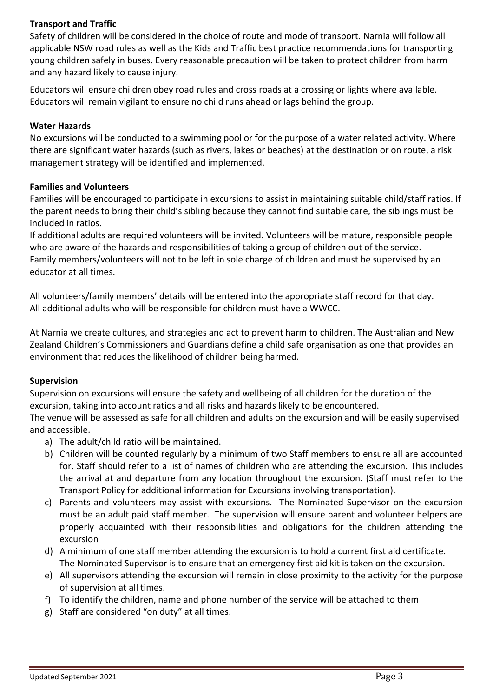# **Transport and Traffic**

Safety of children will be considered in the choice of route and mode of transport. Narnia will follow all applicable NSW road rules as well as the Kids and Traffic best practice recommendations for transporting young children safely in buses. Every reasonable precaution will be taken to protect children from harm and any hazard likely to cause injury.

Educators will ensure children obey road rules and cross roads at a crossing or lights where available. Educators will remain vigilant to ensure no child runs ahead or lags behind the group.

# **Water Hazards**

No excursions will be conducted to a swimming pool or for the purpose of a water related activity. Where there are significant water hazards (such as rivers, lakes or beaches) at the destination or on route, a risk management strategy will be identified and implemented.

#### **Families and Volunteers**

Families will be encouraged to participate in excursions to assist in maintaining suitable child/staff ratios. If the parent needs to bring their child's sibling because they cannot find suitable care, the siblings must be included in ratios.

If additional adults are required volunteers will be invited. Volunteers will be mature, responsible people who are aware of the hazards and responsibilities of taking a group of children out of the service. Family members/volunteers will not to be left in sole charge of children and must be supervised by an educator at all times.

All volunteers/family members' details will be entered into the appropriate staff record for that day. All additional adults who will be responsible for children must have a WWCC.

At Narnia we create cultures, and strategies and act to prevent harm to children. The Australian and New Zealand Children's Commissioners and Guardians define a child safe organisation as one that provides an environment that reduces the likelihood of children being harmed.

# **Supervision**

Supervision on excursions will ensure the safety and wellbeing of all children for the duration of the excursion, taking into account ratios and all risks and hazards likely to be encountered.

The venue will be assessed as safe for all children and adults on the excursion and will be easily supervised and accessible.

- a) The adult/child ratio will be maintained.
- b) Children will be counted regularly by a minimum of two Staff members to ensure all are accounted for. Staff should refer to a list of names of children who are attending the excursion. This includes the arrival at and departure from any location throughout the excursion. (Staff must refer to the Transport Policy for additional information for Excursions involving transportation).
- c) Parents and volunteers may assist with excursions. The Nominated Supervisor on the excursion must be an adult paid staff member. The supervision will ensure parent and volunteer helpers are properly acquainted with their responsibilities and obligations for the children attending the excursion
- d) A minimum of one staff member attending the excursion is to hold a current first aid certificate. The Nominated Supervisor is to ensure that an emergency first aid kit is taken on the excursion.
- e) All supervisors attending the excursion will remain in close proximity to the activity for the purpose of supervision at all times.
- f) To identify the children, name and phone number of the service will be attached to them
- g) Staff are considered "on duty" at all times.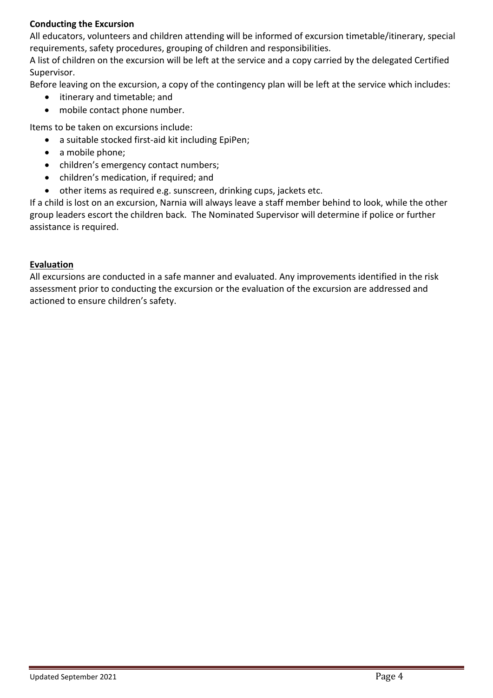# **Conducting the Excursion**

All educators, volunteers and children attending will be informed of excursion timetable/itinerary, special requirements, safety procedures, grouping of children and responsibilities.

A list of children on the excursion will be left at the service and a copy carried by the delegated Certified Supervisor.

Before leaving on the excursion, a copy of the contingency plan will be left at the service which includes:

- itinerary and timetable; and
- mobile contact phone number.

Items to be taken on excursions include:

- a suitable stocked first-aid kit including EpiPen;
- a mobile phone:
- children's emergency contact numbers;
- children's medication, if required; and
- other items as required e.g. sunscreen, drinking cups, jackets etc.

If a child is lost on an excursion, Narnia will always leave a staff member behind to look, while the other group leaders escort the children back. The Nominated Supervisor will determine if police or further assistance is required.

# **Evaluation**

All excursions are conducted in a safe manner and evaluated. Any improvements identified in the risk assessment prior to conducting the excursion or the evaluation of the excursion are addressed and actioned to ensure children's safety.